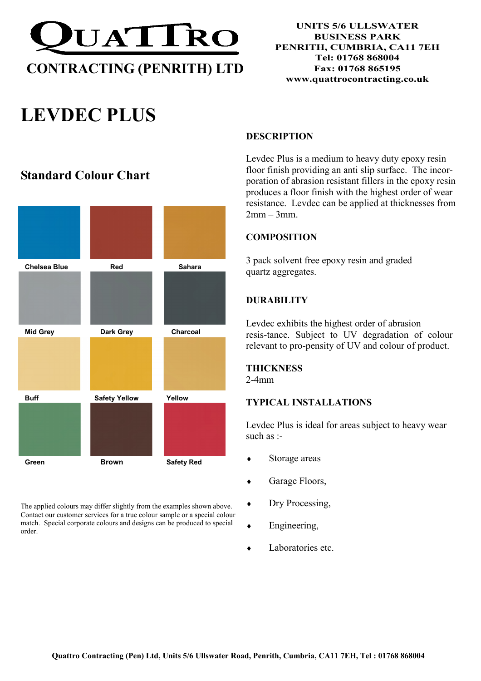

# LEVDEC PLUS

# Standard Colour Chart



The applied colours may differ slightly from the examples shown above. Contact our customer services for a true colour sample or a special colour match. Special corporate colours and designs can be produced to special order.

## **DESCRIPTION**

Levdec Plus is a medium to heavy duty epoxy resin floor finish providing an anti slip surface. The incorporation of abrasion resistant fillers in the epoxy resin produces a floor finish with the highest order of wear resistance. Levdec can be applied at thicknesses from  $2mm - 3mm$ 

# **COMPOSITION**

3 pack solvent free epoxy resin and graded quartz aggregates.

# **DURABILITY**

Levdec exhibits the highest order of abrasion resis-tance. Subject to UV degradation of colour relevant to pro-pensity of UV and colour of product.

# **THICKNESS**

2-4mm

# TYPICAL INSTALLATIONS

Levdec Plus is ideal for areas subject to heavy wear such as :-

- ♦ Storage areas
- ♦ Garage Floors,
- ♦ Dry Processing,
- ♦ Engineering,
- Laboratories etc.